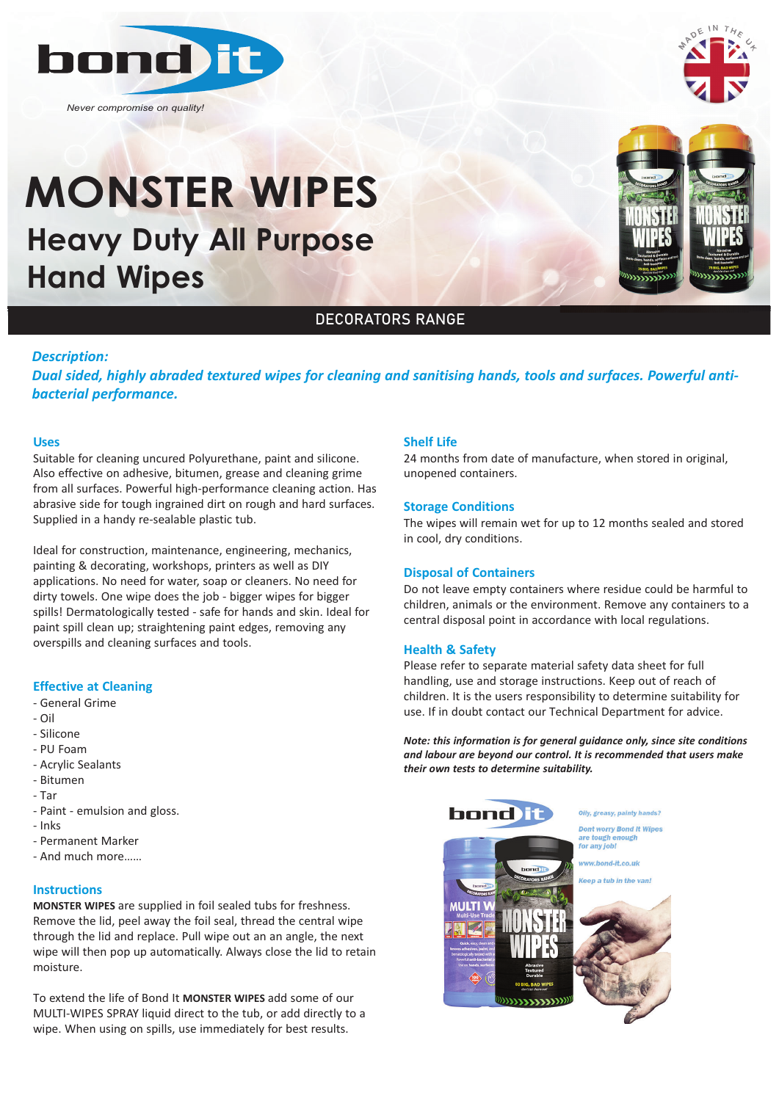

*Never compromise on quality!*

# **Heavy Duty All Purpose Hand Wipes MONSTER WIPES**



# DECORATORS RANGE

#### *Description:*

*Dual sided, highly abraded textured wipes for cleaning and sanitising hands, tools and surfaces. Powerful anti‐ bacterial performance.*

#### **Uses**

Suitable for cleaning uncured Polyurethane, paint and silicone. Also effective on adhesive, bitumen, grease and cleaning grime from all surfaces. Powerful high-performance cleaning action. Has abrasive side for tough ingrained dirt on rough and hard surfaces. Supplied in a handy re-sealable plastic tub.

Ideal for construction, maintenance, engineering, mechanics, painting & decorating, workshops, printers as well as DIY applications. No need for water, soap or cleaners. No need for dirty towels. One wipe does the job - bigger wipes for bigger spills! Dermatologically tested - safe for hands and skin. Ideal for paint spill clean up; straightening paint edges, removing any overspills and cleaning surfaces and tools.

#### **Effective at Cleaning**

- General Grime
- Oil
- Silicone
- PU Foam
- Acrylic Sealants
- Bitumen
- Tar
- Paint emulsion and gloss.
- Inks
- Permanent Marker
- And much more……

#### **Instructions**

**MONSTER WIPES** are supplied in foil sealed tubs for freshness. Remove the lid, peel away the foil seal, thread the central wipe through the lid and replace. Pull wipe out an an angle, the next wipe will then pop up automatically. Always close the lid to retain moisture.

To extend the life of Bond It **MONSTER WIPES** add some of our MULTI-WIPES SPRAY liquid direct to the tub, or add directly to a wipe. When using on spills, use immediately for best results.

#### **Shelf Life**

24 months from date of manufacture, when stored in original, unopened containers.

#### **Storage Conditions**

The wipes will remain wet for up to 12 months sealed and stored in cool, dry conditions.

#### **Disposal of Containers**

Do not leave empty containers where residue could be harmful to children, animals or the environment. Remove any containers to a central disposal point in accordance with local regulations.

#### **Health & Safety**

Please refer to separate material safety data sheet for full handling, use and storage instructions. Keep out of reach of children. It is the users responsibility to determine suitability for use. If in doubt contact our Technical Department for advice.

*Note: this information is for general guidance only, since site conditions and labour are beyond our control. It is recommended that users make their own tests to determine suitability.*